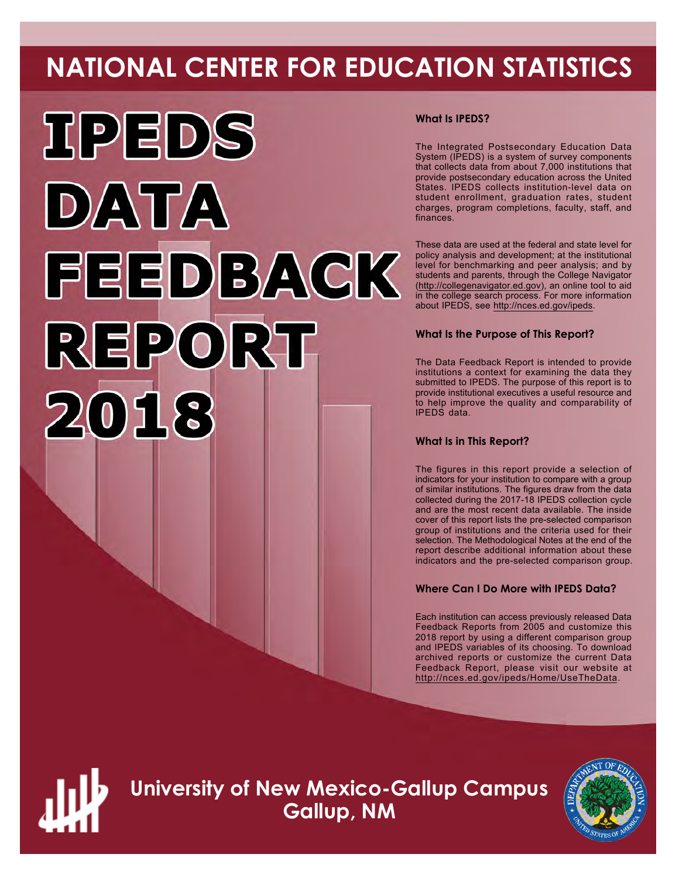# **NATIONAL CENTER FOR EDUCATION STATISTICS**



# **What Is IPEDS?**

The Integrated Postsecondary Education Data System (IPEDS) is a system of survey components that collects data from about 7,000 institutions that provide postsecondary education across the United States. IPEDS collects institution-level data on student enrollment, graduation rates, student charges, program completions, faculty, staff, and finances.

These data are used at the federal and state level for policy analysis and development; at the institutional level for benchmarking and peer analysis; and by students and parents, through the College Navigator ([http://collegenavigator.ed.gov\)](http://collegenavigator.ed.gov), an online tool to aid in the college search process. For more information about IPEDS, see [http://nces.ed.gov/ipeds.](http://nces.ed.gov/ipeds)

# **What Is the Purpose of This Report?**

The Data Feedback Report is intended to provide institutions a context for examining the data they submitted to IPEDS. The purpose of this report is to provide institutional executives a useful resource and to help improve the quality and comparability of IPEDS data.

# **What Is in This Report?**

The figures in this report provide a selection of indicators for your institution to compare with a group of similar institutions. The figures draw from the data collected during the 2017-18 IPEDS collection cycle and are the most recent data available. The inside cover of this report lists the pre-selected comparison group of institutions and the criteria used for their selection. The Methodological Notes at the end of the report describe additional information about these indicators and the pre-selected comparison group.

# **Where Can I Do More with IPEDS Data?**

Each institution can access previously released Data Feedback Reports from 2005 and customize this 2018 report by using a different comparison group and IPEDS variables of its choosing. To download archived reports or customize the current Data Feedback Report, please visit our website at <http://nces.ed.gov/ipeds/Home/UseTheData>.



**University of New Mexico-Gallup Campus Gallup, NM**

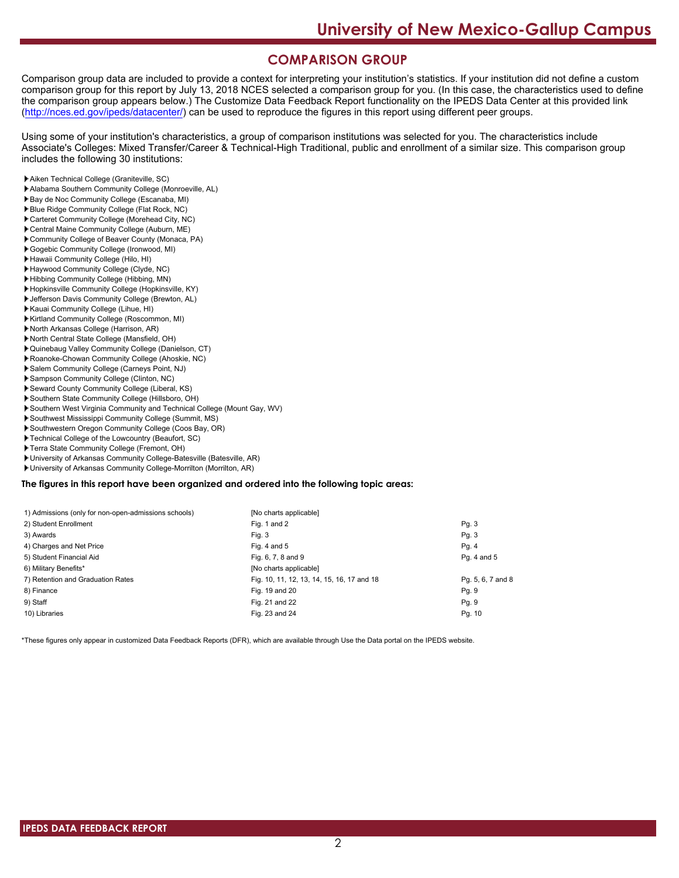# **COMPARISON GROUP**

Comparison group data are included to provide a context for interpreting your institution's statistics. If your institution did not define a custom comparison group for this report by July 13, 2018 NCES selected a comparison group for you. (In this case, the characteristics used to define the comparison group appears below.) The Customize Data Feedback Report functionality on the IPEDS Data Center at this provided link [\(http://nces.ed.gov/ipeds/datacenter/\)](http://nces.ed.gov/ipeds/datacenter/) can be used to reproduce the figures in this report using different peer groups.

Using some of your institution's characteristics, a group of comparison institutions was selected for you. The characteristics include Associate's Colleges: Mixed Transfer/Career & Technical-High Traditional, public and enrollment of a similar size. This comparison group includes the following 30 institutions:

- Aiken Technical College (Graniteville, SC)
- Alabama Southern Community College (Monroeville, AL)
- Bay de Noc Community College (Escanaba, MI)
- Blue Ridge Community College (Flat Rock, NC)
- Carteret Community College (Morehead City, NC)
- Central Maine Community College (Auburn, ME)
- Community College of Beaver County (Monaca, PA) Gogebic Community College (Ironwood, MI)
- Hawaii Community College (Hilo, HI)
- Haywood Community College (Clyde, NC)
- Hibbing Community College (Hibbing, MN)
- Hopkinsville Community College (Hopkinsville, KY)
- Jefferson Davis Community College (Brewton, AL)
- Kauai Community College (Lihue, HI)
- Kirtland Community College (Roscommon, MI)
- North Arkansas College (Harrison, AR)
- North Central State College (Mansfield, OH)
- Quinebaug Valley Community College (Danielson, CT)
- Roanoke-Chowan Community College (Ahoskie, NC)
- Salem Community College (Carneys Point, NJ)
- Sampson Community College (Clinton, NC)
- Seward County Community College (Liberal, KS)
- Southern State Community College (Hillsboro, OH)
- Southern West Virginia Community and Technical College (Mount Gay, WV)
- Southwest Mississippi Community College (Summit, MS)
- Southwestern Oregon Community College (Coos Bay, OR)
- Technical College of the Lowcountry (Beaufort, SC)
- Terra State Community College (Fremont, OH)
- University of Arkansas Community College-Batesville (Batesville, AR)
- University of Arkansas Community College-Morrilton (Morrilton, AR)

#### **The figures in this report have been organized and ordered into the following topic areas:**

| 1) Admissions (only for non-open-admissions schools) | [No charts applicable]                     |                   |
|------------------------------------------------------|--------------------------------------------|-------------------|
| 2) Student Enrollment                                | Fig. 1 and 2                               | Pg.3              |
| 3) Awards                                            | Fig. 3                                     | Pg.3              |
| 4) Charges and Net Price                             | Fig. 4 and $5$                             | Pg. 4             |
| 5) Student Financial Aid                             | Fig. 6, 7, 8 and 9                         | Pg. 4 and 5       |
| 6) Military Benefits*                                | [No charts applicable]                     |                   |
| 7) Retention and Graduation Rates                    | Fig. 10, 11, 12, 13, 14, 15, 16, 17 and 18 | Pg. 5, 6, 7 and 8 |
| 8) Finance                                           | Fig. 19 and 20                             | Pg. 9             |
| 9) Staff                                             | Fig. 21 and 22                             | Pg. 9             |
| 10) Libraries                                        | Fig. 23 and 24                             | Pg. 10            |

\*These figures only appear in customized Data Feedback Reports (DFR), which are available through Use the Data portal on the IPEDS website.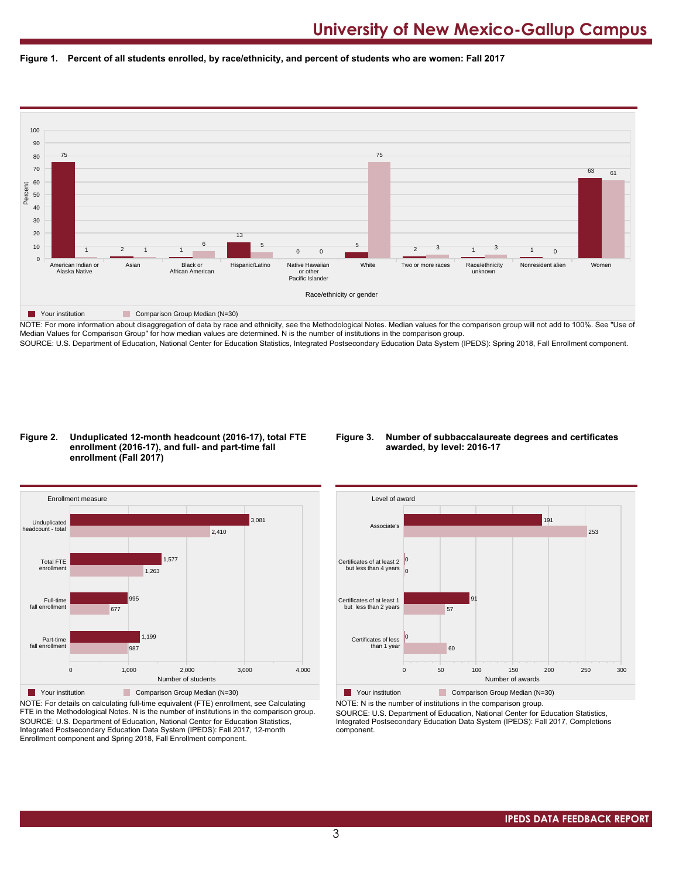



NOTE: For more information about disaggregation of data by race and ethnicity, see the Methodological Notes. Median values for the comparison group will not add to 100%. See "Use of Median Values for Comparison Group" for how median values are determined. N is the number of institutions in the comparison group. SOURCE: U.S. Department of Education, National Center for Education Statistics, Integrated Postsecondary Education Data System (IPEDS): Spring 2018, Fall Enrollment component.

#### **Figure 2. Unduplicated 12-month headcount (2016-17), total FTE enrollment (2016-17), and full- and part-time fall enrollment (Fall 2017)**

#### **Figure 3. Number of subbaccalaureate degrees and certificates awarded, by level: 2016-17**



NOTE: For details on calculating full-time equivalent (FTE) enrollment, see Calculating FTE in the Methodological Notes. N is the number of institutions in the comparison group. SOURCE: U.S. Department of Education, National Center for Education Statistics, Integrated Postsecondary Education Data System (IPEDS): Fall 2017, 12-month Enrollment component and Spring 2018, Fall Enrollment component.



**The Your institution Comparison Group Median (N=30)** NOTE: N is the number of institutions in the comparison group.

SOURCE: U.S. Department of Education, National Center for Education Statistics, Integrated Postsecondary Education Data System (IPEDS): Fall 2017, Completions component.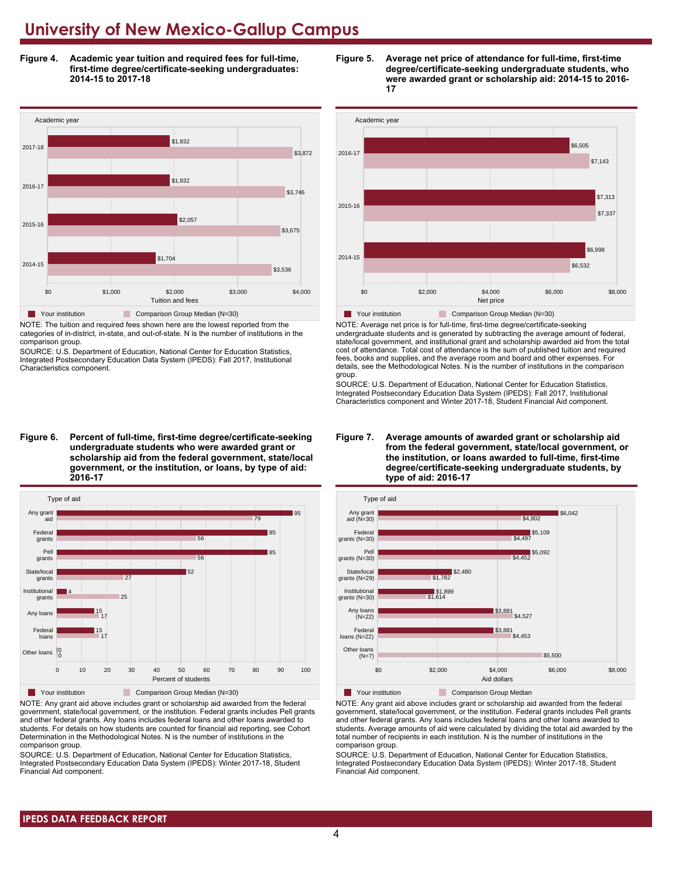**Figure 4. Academic year tuition and required fees for full-time, first-time degree/certificate-seeking undergraduates: 2014-15 to 2017-18**



NOTE: The tuition and required fees shown here are the lowest reported from the categories of in-district, in-state, and out-of-state. N is the number of institutions in the comparison group.

SOURCE: U.S. Department of Education, National Center for Education Statistics, Integrated Postsecondary Education Data System (IPEDS): Fall 2017, Institutional Characteristics component.

**Figure 6. Percent of full-time, first-time degree/certificate-seeking undergraduate students who were awarded grant or scholarship aid from the federal government, state/local government, or the institution, or loans, by type of aid: 2016-17**



NOTE: Any grant aid above includes grant or scholarship aid awarded from the federal government, state/local government, or the institution. Federal grants includes Pell grants and other federal grants. Any loans includes federal loans and other loans awarded to students. For details on how students are counted for financial aid reporting, see Cohort Determination in the Methodological Notes. N is the number of institutions in the comparison group.

SOURCE: U.S. Department of Education, National Center for Education Statistics, Integrated Postsecondary Education Data System (IPEDS): Winter 2017-18, Student Financial Aid component.





NOTE: Average net price is for full-time, first-time degree/certificate-seeking undergraduate students and is generated by subtracting the average amount of federal, state/local government, and institutional grant and scholarship awarded aid from the total cost of attendance. Total cost of attendance is the sum of published tuition and required fees, books and supplies, and the average room and board and other expenses. For details, see the Methodological Notes. N is the number of institutions in the comparison group.

SOURCE: U.S. Department of Education, National Center for Education Statistics, Integrated Postsecondary Education Data System (IPEDS): Fall 2017, Institutional Characteristics component and Winter 2017-18, Student Financial Aid component.





**The Your institution Comparison Group Median** 

NOTE: Any grant aid above includes grant or scholarship aid awarded from the federal government, state/local government, or the institution. Federal grants includes Pell grants and other federal grants. Any loans includes federal loans and other loans awarded to students. Average amounts of aid were calculated by dividing the total aid awarded by the total number of recipients in each institution. N is the number of institutions in the comparison group.

SOURCE: U.S. Department of Education, National Center for Education Statistics, Integrated Postsecondary Education Data System (IPEDS): Winter 2017-18, Student Financial Aid component.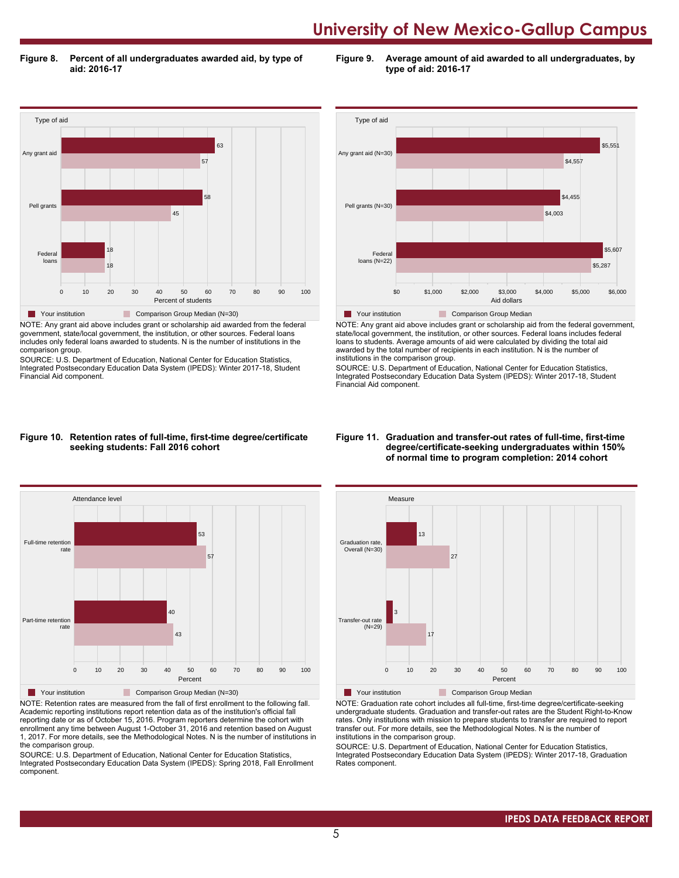**Figure 8. Percent of all undergraduates awarded aid, by type of aid: 2016-17**

**Figure 9. Average amount of aid awarded to all undergraduates, by type of aid: 2016-17**



NOTE: Any grant aid above includes grant or scholarship aid awarded from the federal government, state/local government, the institution, or other sources. Federal loans includes only federal loans awarded to students. N is the number of institutions in the comparison group.

SOURCE: U.S. Department of Education, National Center for Education Statistics, Integrated Postsecondary Education Data System (IPEDS): Winter 2017-18, Student Financial Aid component.



NOTE: Any grant aid above includes grant or scholarship aid from the federal government, state/local government, the institution, or other sources. Federal loans includes federal loans to students. Average amounts of aid were calculated by dividing the total aid awarded by the total number of recipients in each institution. N is the number of institutions in the comparison group.

SOURCE: U.S. Department of Education, National Center for Education Statistics, Integrated Postsecondary Education Data System (IPEDS): Winter 2017-18, Student Financial Aid component.

#### **Figure 10. Retention rates of full-time, first-time degree/certificate seeking students: Fall 2016 cohort**



NOTE: Retention rates are measured from the fall of first enrollment to the following fall. Academic reporting institutions report retention data as of the institution's official fall reporting date or as of October 15, 2016. Program reporters determine the cohort with enrollment any time between August 1-October 31, 2016 and retention based on August 1, 2017. For more details, see the Methodological Notes. N is the number of institutions in the comparison group.

SOURCE: U.S. Department of Education, National Center for Education Statistics, Integrated Postsecondary Education Data System (IPEDS): Spring 2018, Fall Enrollment component.

#### **Figure 11. Graduation and transfer-out rates of full-time, first-time degree/certificate-seeking undergraduates within 150% of normal time to program completion: 2014 cohort**



NOTE: Graduation rate cohort includes all full-time, first-time degree/certificate-seeking undergraduate students. Graduation and transfer-out rates are the Student Right-to-Know rates. Only institutions with mission to prepare students to transfer are required to report transfer out. For more details, see the Methodological Notes. N is the number of institutions in the comparison group.

SOURCE: U.S. Department of Education, National Center for Education Statistics, Integrated Postsecondary Education Data System (IPEDS): Winter 2017-18, Graduation Rates component.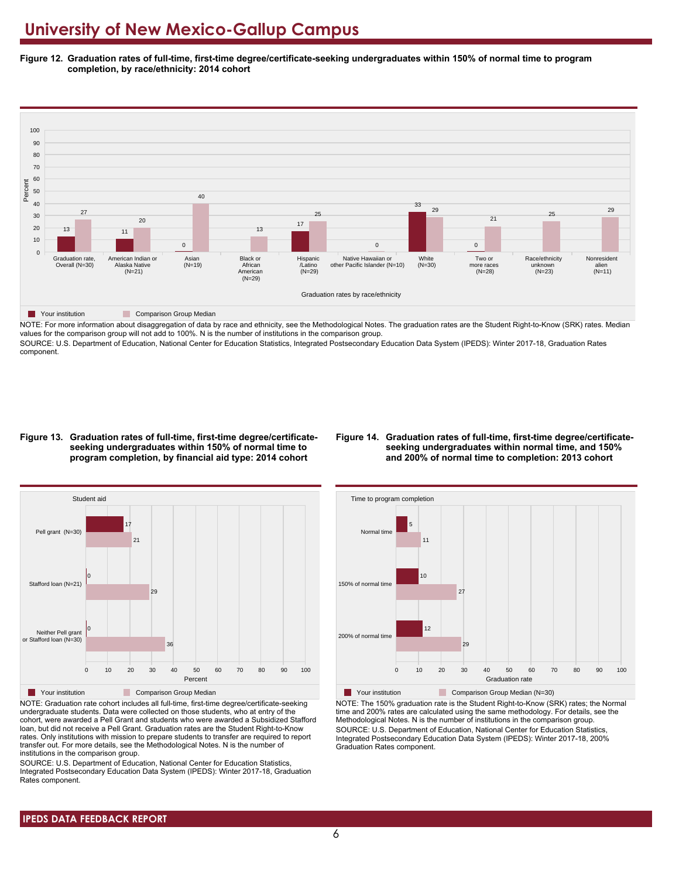**Figure 12. Graduation rates of full-time, first-time degree/certificate-seeking undergraduates within 150% of normal time to program completion, by race/ethnicity: 2014 cohort**



NOTE: For more information about disaggregation of data by race and ethnicity, see the Methodological Notes. The graduation rates are the Student Right-to-Know (SRK) rates. Median values for the comparison group will not add to 100%. N is the number of institutions in the comparison group.

SOURCE: U.S. Department of Education, National Center for Education Statistics, Integrated Postsecondary Education Data System (IPEDS): Winter 2017-18, Graduation Rates component.

#### **Figure 13. Graduation rates of full-time, first-time degree/certificateseeking undergraduates within 150% of normal time to program completion, by financial aid type: 2014 cohort**

#### **Figure 14. Graduation rates of full-time, first-time degree/certificateseeking undergraduates within normal time, and 150% and 200% of normal time to completion: 2013 cohort**



NOTE: Graduation rate cohort includes all full-time, first-time degree/certificate-seeking undergraduate students. Data were collected on those students, who at entry of the cohort, were awarded a Pell Grant and students who were awarded a Subsidized Stafford loan, but did not receive a Pell Grant. Graduation rates are the Student Right-to-Know rates. Only institutions with mission to prepare students to transfer are required to report transfer out. For more details, see the Methodological Notes. N is the number of institutions in the comparison group.

SOURCE: U.S. Department of Education, National Center for Education Statistics, Integrated Postsecondary Education Data System (IPEDS): Winter 2017-18, Graduation Rates component.



**Your institution** Comparison Group Median (N=30) NOTE: The 150% graduation rate is the Student Right-to-Know (SRK) rates; the Normal time and 200% rates are calculated using the same methodology. For details, see the Methodological Notes. N is the number of institutions in the comparison group. SOURCE: U.S. Department of Education, National Center for Education Statistics, Integrated Postsecondary Education Data System (IPEDS): Winter 2017-18, 200% Graduation Rates component.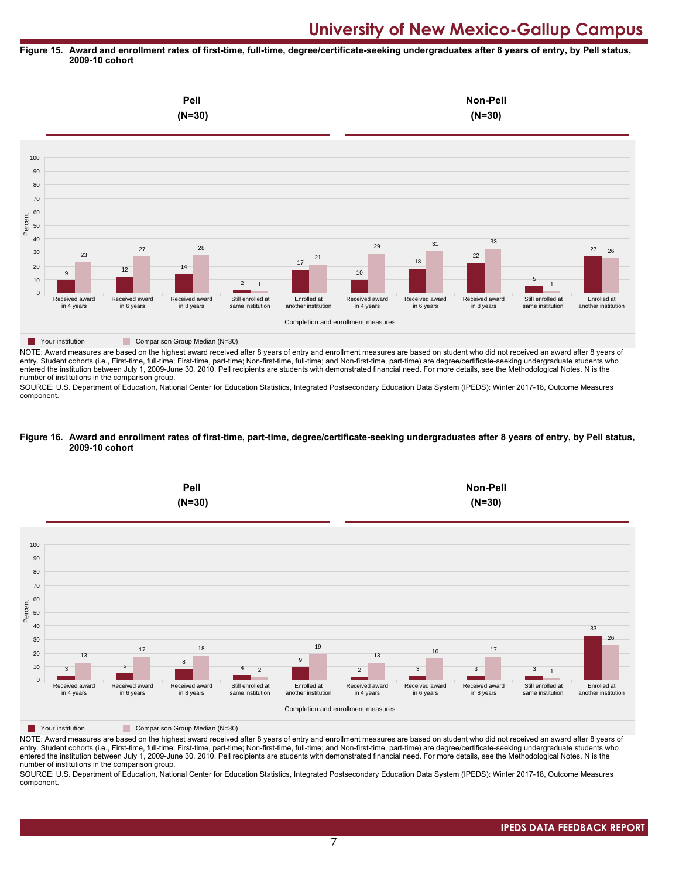#### **Figure 15. Award and enrollment rates of first-time, full-time, degree/certificate-seeking undergraduates after 8 years of entry, by Pell status, 2009-10 cohort**



NOTE: Award measures are based on the highest award received after 8 years of entry and enrollment measures are based on student who did not received an award after 8 years of entry. Student cohorts (i.e., First-time, full-time; First-time, part-time; Non-first-time, full-time; and Non-first-time, part-time) are degree/certificate-seeking undergraduate students who entered the institution between July 1, 2009-June 30, 2010. Pell recipients are students with demonstrated financial need. For more details, see the Methodological Notes. N is the number of institutions in the comparison group.

SOURCE: U.S. Department of Education, National Center for Education Statistics, Integrated Postsecondary Education Data System (IPEDS): Winter 2017-18, Outcome Measures component.

#### **Figure 16. Award and enrollment rates of first-time, part-time, degree/certificate-seeking undergraduates after 8 years of entry, by Pell status, 2009-10 cohort**



NOTE: Award measures are based on the highest award received after 8 years of entry and enrollment measures are based on student who did not received an award after 8 years of entry. Student cohorts (i.e., First-time, full-time; First-time, part-time; Non-first-time, full-time; and Non-first-time, part-time) are degree/certificate-seeking undergraduate students who entered the institution between July 1, 2009-June 30, 2010. Pell recipients are students with demonstrated financial need. For more details, see the Methodological Notes. N is the number of institutions in the comparison group.

SOURCE: U.S. Department of Education, National Center for Education Statistics, Integrated Postsecondary Education Data System (IPEDS): Winter 2017-18, Outcome Measures component.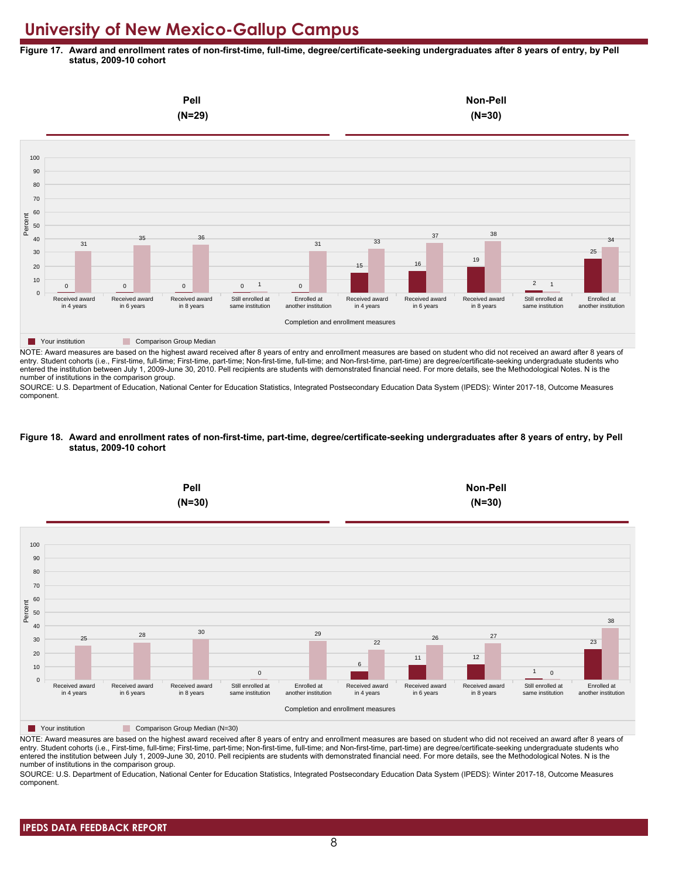**Figure 17. Award and enrollment rates of non-first-time, full-time, degree/certificate-seeking undergraduates after 8 years of entry, by Pell status, 2009-10 cohort**



NOTE: Award measures are based on the highest award received after 8 years of entry and enrollment measures are based on student who did not received an award after 8 years of entry. Student cohorts (i.e., First-time, full-time; First-time, part-time; Non-first-time, full-time; and Non-first-time, part-time) are degree/certificate-seeking undergraduate students who entered the institution between July 1, 2009-June 30, 2010. Pell recipients are students with demonstrated financial need. For more details, see the Methodological Notes. N is the number of institutions in the comparison group.

SOURCE: U.S. Department of Education, National Center for Education Statistics, Integrated Postsecondary Education Data System (IPEDS): Winter 2017-18, Outcome Measures component.

#### **Figure 18. Award and enrollment rates of non-first-time, part-time, degree/certificate-seeking undergraduates after 8 years of entry, by Pell status, 2009-10 cohort**



NOTE: Award measures are based on the highest award received after 8 years of entry and enrollment measures are based on student who did not received an award after 8 years of entry. Student cohorts (i.e., First-time, full-time; First-time, part-time; Non-first-time, full-time; and Non-first-time, part-time) are degree/certificate-seeking undergraduate students who entered the institution between July 1, 2009-June 30, 2010. Pell recipients are students with demonstrated financial need. For more details, see the Methodological Notes. N is the number of institutions in the comparison group.

SOURCE: U.S. Department of Education, National Center for Education Statistics, Integrated Postsecondary Education Data System (IPEDS): Winter 2017-18, Outcome Measures component.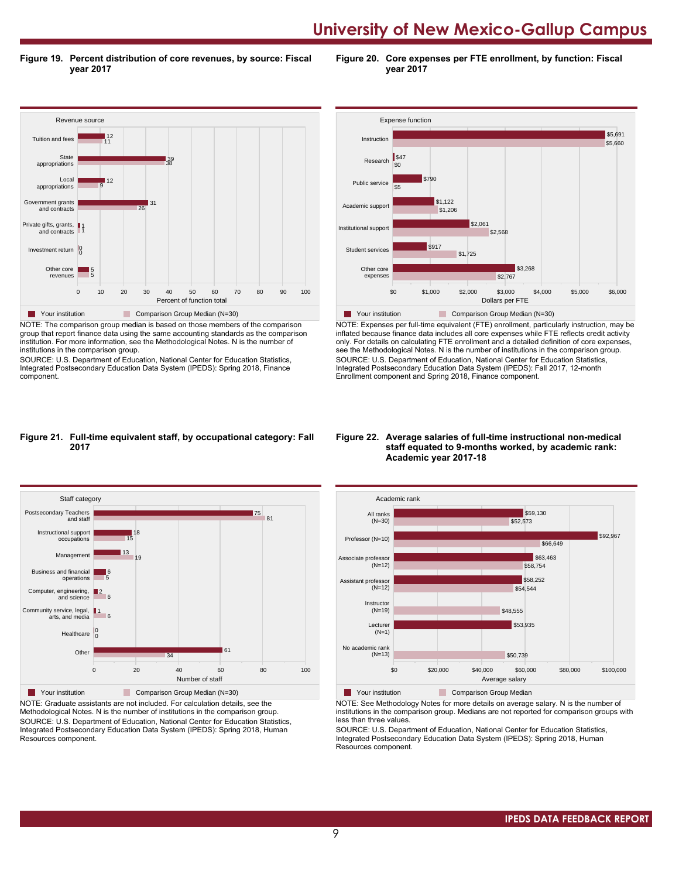**Figure 19. Percent distribution of core revenues, by source: Fiscal year 2017**

**Figure 20. Core expenses per FTE enrollment, by function: Fiscal year 2017**



NOTE: The comparison group median is based on those members of the comparison group that report finance data using the same accounting standards as the comparison institution. For more information, see the Methodological Notes. N is the number of institutions in the comparison group.

SOURCE: U.S. Department of Education, National Center for Education Statistics, Integrated Postsecondary Education Data System (IPEDS): Spring 2018, Finance component.



NOTE: Expenses per full-time equivalent (FTE) enrollment, particularly instruction, may be inflated because finance data includes all core expenses while FTE reflects credit activity only. For details on calculating FTE enrollment and a detailed definition of core expenses, see the Methodological Notes. N is the number of institutions in the comparison group. SOURCE: U.S. Department of Education, National Center for Education Statistics, Integrated Postsecondary Education Data System (IPEDS): Fall 2017, 12-month Enrollment component and Spring 2018, Finance component.

#### **Figure 21. Full-time equivalent staff, by occupational category: Fall 2017**



NOTE: Graduate assistants are not included. For calculation details, see the Methodological Notes. N is the number of institutions in the comparison group. SOURCE: U.S. Department of Education, National Center for Education Statistics, Integrated Postsecondary Education Data System (IPEDS): Spring 2018, Human Resources component.

#### **Figure 22. Average salaries of full-time instructional non-medical staff equated to 9-months worked, by academic rank: Academic year 2017-18**



NOTE: See Methodology Notes for more details on average salary. N is the number of institutions in the comparison group. Medians are not reported for comparison groups with less than three values.

SOURCE: U.S. Department of Education, National Center for Education Statistics, Integrated Postsecondary Education Data System (IPEDS): Spring 2018, Human Resources component.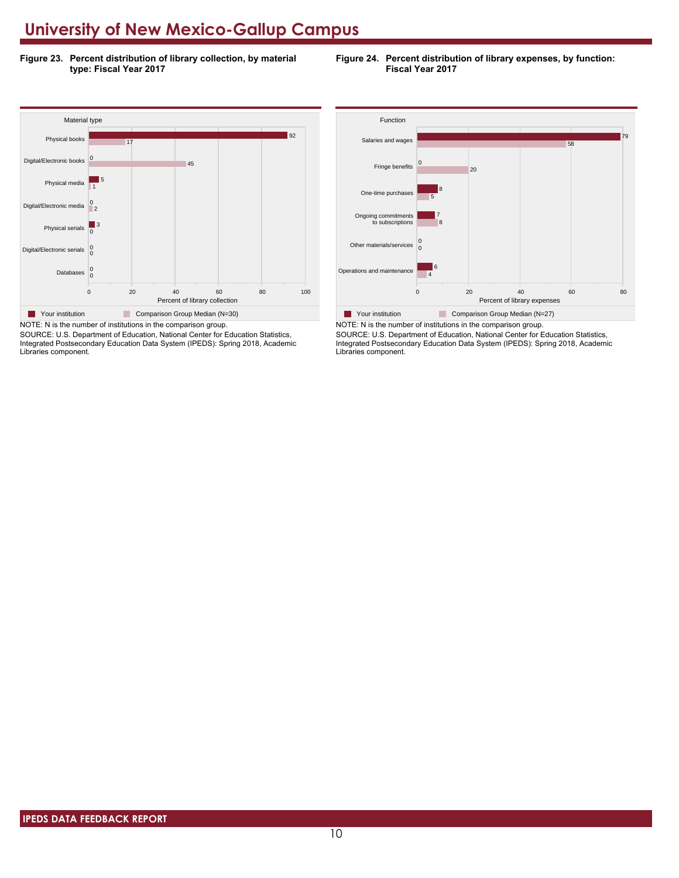**Figure 23. Percent distribution of library collection, by material type: Fiscal Year 2017**

**Figure 24. Percent distribution of library expenses, by function: Fiscal Year 2017**



SOURCE: U.S. Department of Education, National Center for Education Statistics, Integrated Postsecondary Education Data System (IPEDS): Spring 2018, Academic Libraries component.



SOURCE: U.S. Department of Education, National Center for Education Statistics, Integrated Postsecondary Education Data System (IPEDS): Spring 2018, Academic Libraries component.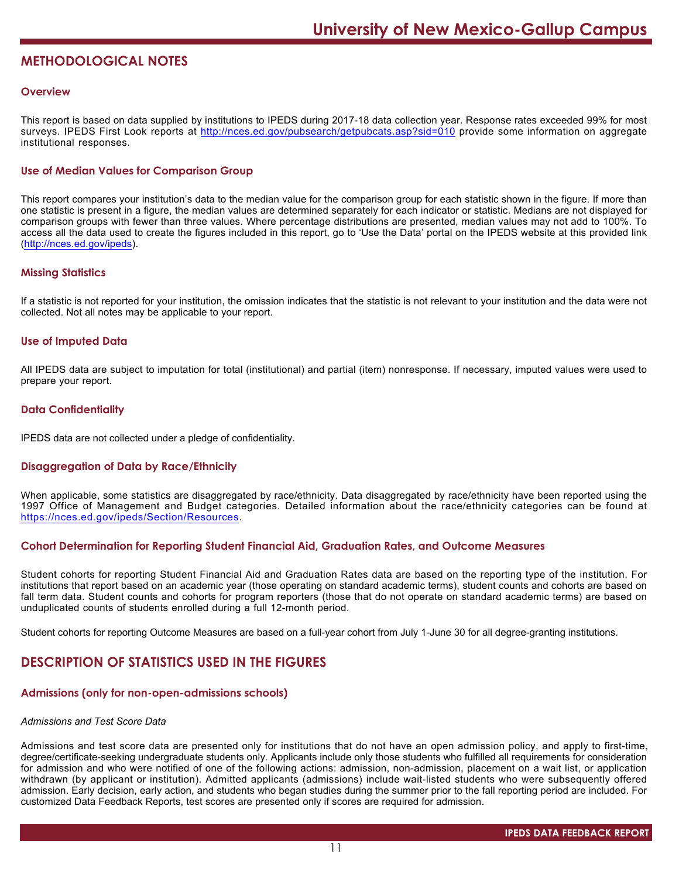# **METHODOLOGICAL NOTES**

### **Overview**

This report is based on data supplied by institutions to IPEDS during 2017-18 data collection year. Response rates exceeded 99% for most surveys. IPEDS First Look reports at <http://nces.ed.gov/pubsearch/getpubcats.asp?sid=010> provide some information on aggregate institutional responses.

# **Use of Median Values for Comparison Group**

This report compares your institution's data to the median value for the comparison group for each statistic shown in the figure. If more than one statistic is present in a figure, the median values are determined separately for each indicator or statistic. Medians are not displayed for comparison groups with fewer than three values. Where percentage distributions are presented, median values may not add to 100%. To access all the data used to create the figures included in this report, go to 'Use the Data' portal on the IPEDS website at this provided link (<http://nces.ed.gov/ipeds>).

#### **Missing Statistics**

If a statistic is not reported for your institution, the omission indicates that the statistic is not relevant to your institution and the data were not collected. Not all notes may be applicable to your report.

### **Use of Imputed Data**

All IPEDS data are subject to imputation for total (institutional) and partial (item) nonresponse. If necessary, imputed values were used to prepare your report.

### **Data Confidentiality**

IPEDS data are not collected under a pledge of confidentiality.

### **Disaggregation of Data by Race/Ethnicity**

When applicable, some statistics are disaggregated by race/ethnicity. Data disaggregated by race/ethnicity have been reported using the 1997 Office of Management and Budget categories. Detailed information about the race/ethnicity categories can be found at <https://nces.ed.gov/ipeds/Section/Resources>.

#### **Cohort Determination for Reporting Student Financial Aid, Graduation Rates, and Outcome Measures**

Student cohorts for reporting Student Financial Aid and Graduation Rates data are based on the reporting type of the institution. For institutions that report based on an academic year (those operating on standard academic terms), student counts and cohorts are based on fall term data. Student counts and cohorts for program reporters (those that do not operate on standard academic terms) are based on unduplicated counts of students enrolled during a full 12-month period.

Student cohorts for reporting Outcome Measures are based on a full-year cohort from July 1-June 30 for all degree-granting institutions.

# **DESCRIPTION OF STATISTICS USED IN THE FIGURES**

# **Admissions (only for non-open-admissions schools)**

# *Admissions and Test Score Data*

Admissions and test score data are presented only for institutions that do not have an open admission policy, and apply to first-time, degree/certificate-seeking undergraduate students only. Applicants include only those students who fulfilled all requirements for consideration for admission and who were notified of one of the following actions: admission, non-admission, placement on a wait list, or application withdrawn (by applicant or institution). Admitted applicants (admissions) include wait-listed students who were subsequently offered admission. Early decision, early action, and students who began studies during the summer prior to the fall reporting period are included. For customized Data Feedback Reports, test scores are presented only if scores are required for admission.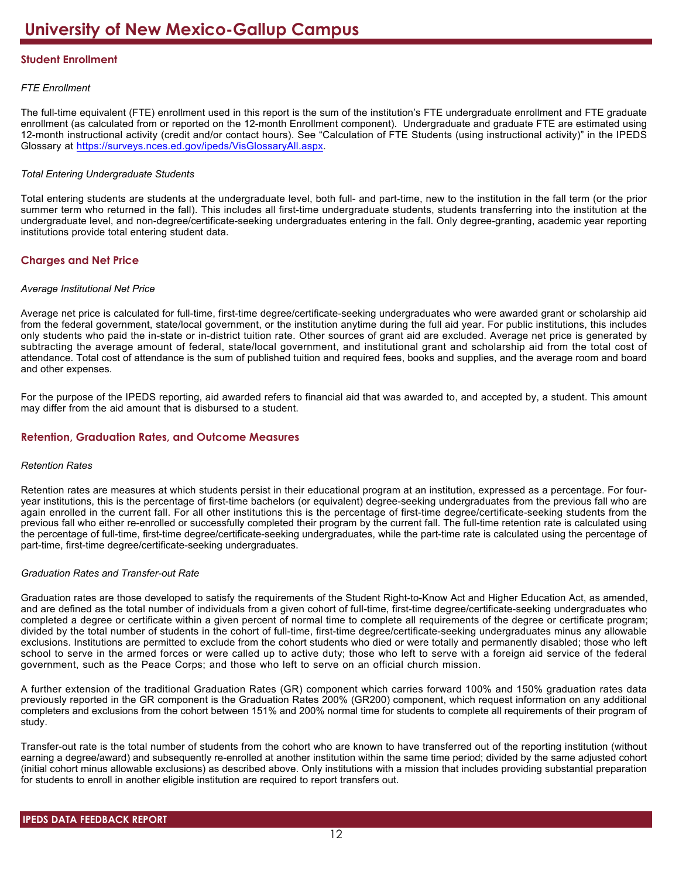# **Student Enrollment**

# *FTE Enrollment*

The full-time equivalent (FTE) enrollment used in this report is the sum of the institution's FTE undergraduate enrollment and FTE graduate enrollment (as calculated from or reported on the 12-month Enrollment component). Undergraduate and graduate FTE are estimated using 12-month instructional activity (credit and/or contact hours). See "Calculation of FTE Students (using instructional activity)" in the IPEDS Glossary at <https://surveys.nces.ed.gov/ipeds/VisGlossaryAll.aspx>.

# *Total Entering Undergraduate Students*

Total entering students are students at the undergraduate level, both full- and part-time, new to the institution in the fall term (or the prior summer term who returned in the fall). This includes all first-time undergraduate students, students transferring into the institution at the undergraduate level, and non-degree/certificate-seeking undergraduates entering in the fall. Only degree-granting, academic year reporting institutions provide total entering student data.

# **Charges and Net Price**

### *Average Institutional Net Price*

Average net price is calculated for full-time, first-time degree/certificate-seeking undergraduates who were awarded grant or scholarship aid from the federal government, state/local government, or the institution anytime during the full aid year. For public institutions, this includes only students who paid the in-state or in-district tuition rate. Other sources of grant aid are excluded. Average net price is generated by subtracting the average amount of federal, state/local government, and institutional grant and scholarship aid from the total cost of attendance. Total cost of attendance is the sum of published tuition and required fees, books and supplies, and the average room and board and other expenses.

For the purpose of the IPEDS reporting, aid awarded refers to financial aid that was awarded to, and accepted by, a student. This amount may differ from the aid amount that is disbursed to a student.

# **Retention, Graduation Rates, and Outcome Measures**

### *Retention Rates*

Retention rates are measures at which students persist in their educational program at an institution, expressed as a percentage. For fouryear institutions, this is the percentage of first-time bachelors (or equivalent) degree-seeking undergraduates from the previous fall who are again enrolled in the current fall. For all other institutions this is the percentage of first-time degree/certificate-seeking students from the previous fall who either re-enrolled or successfully completed their program by the current fall. The full-time retention rate is calculated using the percentage of full-time, first-time degree/certificate-seeking undergraduates, while the part-time rate is calculated using the percentage of part-time, first-time degree/certificate-seeking undergraduates.

### *Graduation Rates and Transfer-out Rate*

Graduation rates are those developed to satisfy the requirements of the Student Right-to-Know Act and Higher Education Act, as amended, and are defined as the total number of individuals from a given cohort of full-time, first-time degree/certificate-seeking undergraduates who completed a degree or certificate within a given percent of normal time to complete all requirements of the degree or certificate program; divided by the total number of students in the cohort of full-time, first-time degree/certificate-seeking undergraduates minus any allowable exclusions. Institutions are permitted to exclude from the cohort students who died or were totally and permanently disabled; those who left school to serve in the armed forces or were called up to active duty; those who left to serve with a foreign aid service of the federal government, such as the Peace Corps; and those who left to serve on an official church mission.

A further extension of the traditional Graduation Rates (GR) component which carries forward 100% and 150% graduation rates data previously reported in the GR component is the Graduation Rates 200% (GR200) component, which request information on any additional completers and exclusions from the cohort between 151% and 200% normal time for students to complete all requirements of their program of study.

Transfer-out rate is the total number of students from the cohort who are known to have transferred out of the reporting institution (without earning a degree/award) and subsequently re-enrolled at another institution within the same time period; divided by the same adjusted cohort (initial cohort minus allowable exclusions) as described above. Only institutions with a mission that includes providing substantial preparation for students to enroll in another eligible institution are required to report transfers out.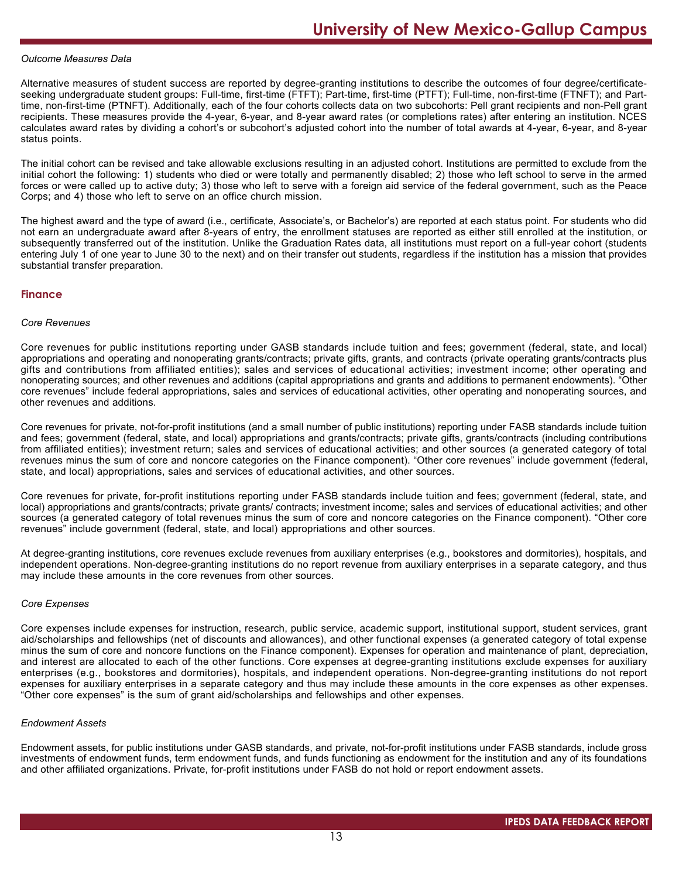#### *Outcome Measures Data*

Alternative measures of student success are reported by degree-granting institutions to describe the outcomes of four degree/certificateseeking undergraduate student groups: Full-time, first-time (FTFT); Part-time, first-time (PTFT); Full-time, non-first-time (FTNFT); and Parttime, non-first-time (PTNFT). Additionally, each of the four cohorts collects data on two subcohorts: Pell grant recipients and non-Pell grant recipients. These measures provide the 4-year, 6-year, and 8-year award rates (or completions rates) after entering an institution. NCES calculates award rates by dividing a cohort's or subcohort's adjusted cohort into the number of total awards at 4-year, 6-year, and 8-year status points.

The initial cohort can be revised and take allowable exclusions resulting in an adjusted cohort. Institutions are permitted to exclude from the initial cohort the following: 1) students who died or were totally and permanently disabled; 2) those who left school to serve in the armed forces or were called up to active duty; 3) those who left to serve with a foreign aid service of the federal government, such as the Peace Corps; and 4) those who left to serve on an office church mission.

The highest award and the type of award (i.e., certificate, Associate's, or Bachelor's) are reported at each status point. For students who did not earn an undergraduate award after 8-years of entry, the enrollment statuses are reported as either still enrolled at the institution, or subsequently transferred out of the institution. Unlike the Graduation Rates data, all institutions must report on a full-year cohort (students entering July 1 of one year to June 30 to the next) and on their transfer out students, regardless if the institution has a mission that provides substantial transfer preparation.

#### **Finance**

#### *Core Revenues*

Core revenues for public institutions reporting under GASB standards include tuition and fees; government (federal, state, and local) appropriations and operating and nonoperating grants/contracts; private gifts, grants, and contracts (private operating grants/contracts plus gifts and contributions from affiliated entities); sales and services of educational activities; investment income; other operating and nonoperating sources; and other revenues and additions (capital appropriations and grants and additions to permanent endowments). "Other core revenues" include federal appropriations, sales and services of educational activities, other operating and nonoperating sources, and other revenues and additions.

Core revenues for private, not-for-profit institutions (and a small number of public institutions) reporting under FASB standards include tuition and fees; government (federal, state, and local) appropriations and grants/contracts; private gifts, grants/contracts (including contributions from affiliated entities); investment return; sales and services of educational activities; and other sources (a generated category of total revenues minus the sum of core and noncore categories on the Finance component). "Other core revenues" include government (federal, state, and local) appropriations, sales and services of educational activities, and other sources.

Core revenues for private, for-profit institutions reporting under FASB standards include tuition and fees; government (federal, state, and local) appropriations and grants/contracts; private grants/ contracts; investment income; sales and services of educational activities; and other sources (a generated category of total revenues minus the sum of core and noncore categories on the Finance component). "Other core revenues" include government (federal, state, and local) appropriations and other sources.

At degree-granting institutions, core revenues exclude revenues from auxiliary enterprises (e.g., bookstores and dormitories), hospitals, and independent operations. Non-degree-granting institutions do no report revenue from auxiliary enterprises in a separate category, and thus may include these amounts in the core revenues from other sources.

#### *Core Expenses*

Core expenses include expenses for instruction, research, public service, academic support, institutional support, student services, grant aid/scholarships and fellowships (net of discounts and allowances), and other functional expenses (a generated category of total expense minus the sum of core and noncore functions on the Finance component). Expenses for operation and maintenance of plant, depreciation, and interest are allocated to each of the other functions. Core expenses at degree-granting institutions exclude expenses for auxiliary enterprises (e.g., bookstores and dormitories), hospitals, and independent operations. Non-degree-granting institutions do not report expenses for auxiliary enterprises in a separate category and thus may include these amounts in the core expenses as other expenses. "Other core expenses" is the sum of grant aid/scholarships and fellowships and other expenses.

#### *Endowment Assets*

Endowment assets, for public institutions under GASB standards, and private, not-for-profit institutions under FASB standards, include gross investments of endowment funds, term endowment funds, and funds functioning as endowment for the institution and any of its foundations and other affiliated organizations. Private, for-profit institutions under FASB do not hold or report endowment assets.